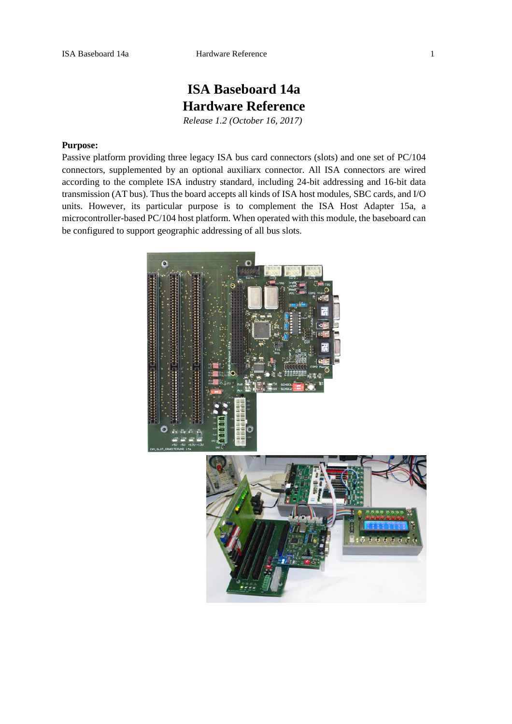# **ISA Baseboard 14a Hardware Reference**

*Release 1.2 (October 16, 2017)* 

## **Purpose:**

Passive platform providing three legacy ISA bus card connectors (slots) and one set of PC/104 connectors, supplemented by an optional auxiliarx connector. All ISA connectors are wired according to the complete ISA industry standard, including 24-bit addressing and 16-bit data transmission (AT bus). Thus the board accepts all kinds of ISA host modules, SBC cards, and I/O units. However, its particular purpose is to complement the ISA Host Adapter 15a, a microcontroller-based PC/104 host platform. When operated with this module, the baseboard can be configured to support geographic addressing of all bus slots.

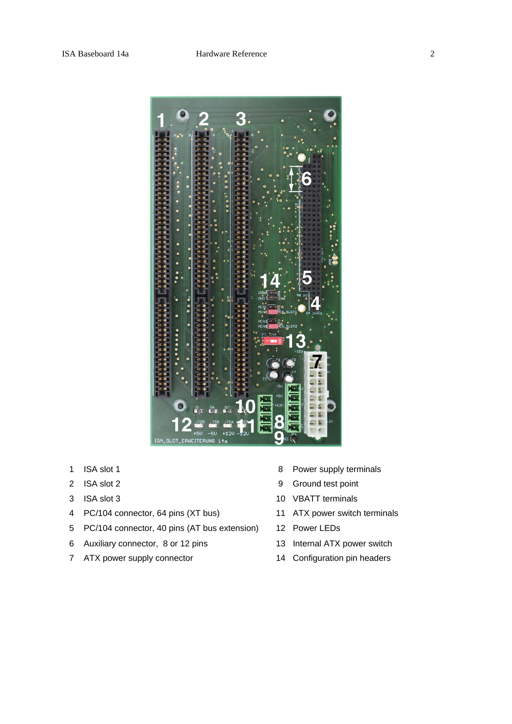

- 
- 
- 
- 4 PC/104 connector, 64 pins (XT bus) 11 ATX power switch terminals
- 5 PC/104 connector, 40 pins (AT bus extension) 12 Power LEDs
- 6 Auxiliary connector, 8 or 12 pins 13 Internal ATX power switch
- 7 ATX power supply connector 14 Configuration pin headers
- 1 ISA slot 1 8 Power supply terminals
- 2 ISA slot 2 9 Ground test point
- 3 ISA slot 3 10 VBATT terminals
	-
	-
	-
	-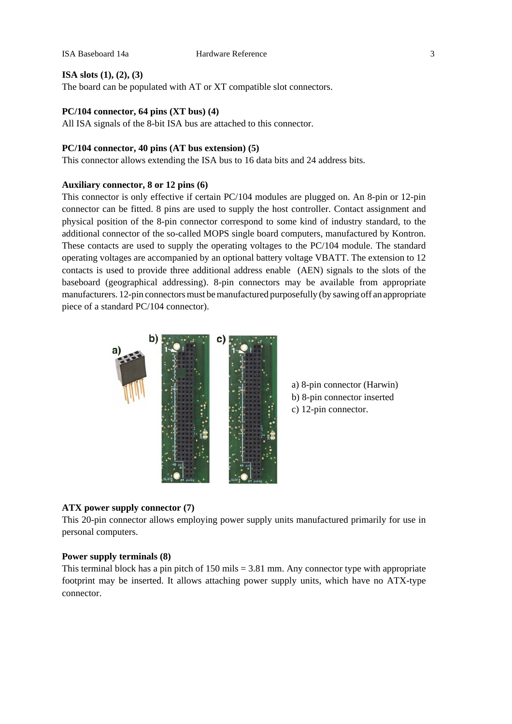#### **ISA slots (1), (2), (3)**

The board can be populated with AT or XT compatible slot connectors.

# **PC/104 connector, 64 pins (XT bus) (4)**

All ISA signals of the 8-bit ISA bus are attached to this connector.

# **PC/104 connector, 40 pins (AT bus extension) (5)**

This connector allows extending the ISA bus to 16 data bits and 24 address bits.

# **Auxiliary connector, 8 or 12 pins (6)**

This connector is only effective if certain PC/104 modules are plugged on. An 8-pin or 12-pin connector can be fitted. 8 pins are used to supply the host controller. Contact assignment and physical position of the 8-pin connector correspond to some kind of industry standard, to the additional connector of the so-called MOPS single board computers, manufactured by Kontron. These contacts are used to supply the operating voltages to the PC/104 module. The standard operating voltages are accompanied by an optional battery voltage VBATT. The extension to 12 contacts is used to provide three additional address enable (AEN) signals to the slots of the baseboard (geographical addressing). 8-pin connectors may be available from appropriate manufacturers. 12-pin connectors must be manufactured purposefully (by sawing off an appropriate piece of a standard PC/104 connector).





#### **ATX power supply connector (7)**

This 20-pin connector allows employing power supply units manufactured primarily for use in personal computers.

#### **Power supply terminals (8)**

This terminal block has a pin pitch of  $150$  mils  $= 3.81$  mm. Any connector type with appropriate footprint may be inserted. It allows attaching power supply units, which have no ATX-type connector.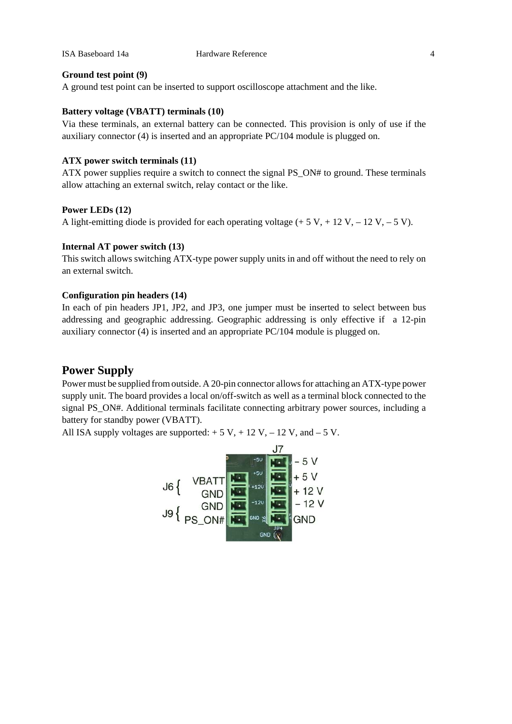ISA Baseboard 14a Hardware Reference 4

#### **Ground test point (9)**

A ground test point can be inserted to support oscilloscope attachment and the like.

# **Battery voltage (VBATT) terminals (10)**

Via these terminals, an external battery can be connected. This provision is only of use if the auxiliary connector (4) is inserted and an appropriate PC/104 module is plugged on.

#### **ATX power switch terminals (11)**

ATX power supplies require a switch to connect the signal PS\_ON# to ground. These terminals allow attaching an external switch, relay contact or the like.

#### **Power LEDs (12)**

A light-emitting diode is provided for each operating voltage  $(+ 5 V, + 12 V, -12 V, -5 V)$ .

## **Internal AT power switch (13)**

This switch allows switching ATX-type power supply units in and off without the need to rely on an external switch.

#### **Configuration pin headers (14)**

In each of pin headers JP1, JP2, and JP3, one jumper must be inserted to select between bus addressing and geographic addressing. Geographic addressing is only effective if a 12-pin auxiliary connector (4) is inserted and an appropriate PC/104 module is plugged on.

# **Power Supply**

Power must be supplied from outside. A 20-pin connector allows for attaching an ATX-type power supply unit. The board provides a local on/off-switch as well as a terminal block connected to the signal PS\_ON#. Additional terminals facilitate connecting arbitrary power sources, including a battery for standby power (VBATT).

All ISA supply voltages are supported:  $+ 5 V$ ,  $+ 12 V$ ,  $- 12 V$ , and  $- 5 V$ .